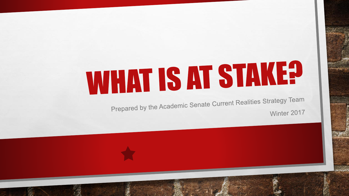# **WHAT IS AT STAKE?**

Prepared by the Academic Senate Current Realities Strategy Team Winter 2017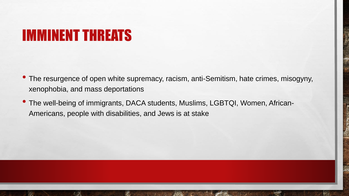#### IMMINENT THREATS

- The resurgence of open white supremacy, racism, anti-Semitism, hate crimes, misogyny, xenophobia, and mass deportations
- The well-being of immigrants, DACA students, Muslims, LGBTQI, Women, African-Americans, people with disabilities, and Jews is at stake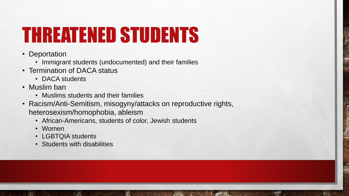# THREATENED STUDENTS

- Deportation
	- Immigrant students (undocumented) and their families
- Termination of DACA status
	- DACA students
- Muslim ban
	- Muslims students and their families
- Racism/Anti-Semitism, misogyny/attacks on reproductive rights, heterosexism/homophobia, ableism
	- African-Americans, students of color, Jewish students
	- Women

 $\mathbb{R}^n$ 

- LGBTQIA students
- Students with disabilities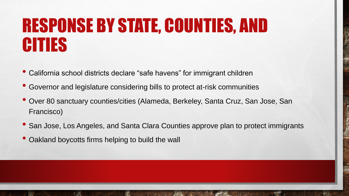### RESPONSE BY STATE, COUNTIES, AND CITIES

- California school districts declare "safe havens" for immigrant children
- Governor and legislature considering bills to protect at-risk communities
- Over 80 sanctuary counties/cities (Alameda, Berkeley, Santa Cruz, San Jose, San Francisco)
- San Jose, Los Angeles, and Santa Clara Counties approve plan to protect immigrants
- Oakland boycotts firms helping to build the wall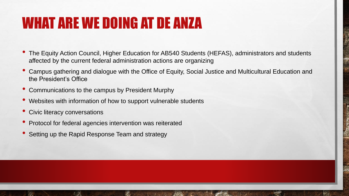#### WHAT ARE WE DOING AT DE ANZA

- The Equity Action Council, Higher Education for AB540 Students (HEFAS), administrators and students affected by the current federal administration actions are organizing
- Campus gathering and dialogue with the Office of Equity, Social Justice and Multicultural Education and the President's Office
- Communications to the campus by President Murphy
- Websites with information of how to support vulnerable students
- Civic literacy conversations
- Protocol for federal agencies intervention was reiterated
- Setting up the Rapid Response Team and strategy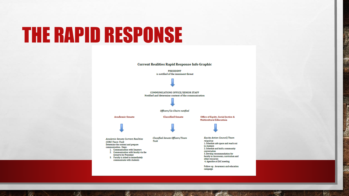## THE RAPID RESPONSE

 $\frac{1}{2}$ 

 $\label{eq:2.1} \begin{array}{ll} \mathcal{L}_{\alpha} & \mathcal{L}_{\alpha} \\ \mathcal{L}_{\alpha} & \mathcal{L}_{\alpha} \end{array}$ 

郷

**PRESIDENT** is notified of the imminent threat **COMMUNICATIONS OFFICE/SENIOR STAFF** Notified and determine content of the communication Officers/Co-Chairs notified **Classified Senate Academic Senate** Office of Equity, Social Justice & **Multicultural Education** Classified Senate Officers/Team **Equity Action Council/Team Academic Senate Current Realities** Task response **CORE Team Task** 1. Schedule safe space and reach out Determine the content and prepare to students communication. Steps: 2. Schedule and hold a community 1. Communication with Senators conversation 2. Communication with faculty via the 3. Develop recommendation for listserve by President faculty in classrooms, curriculum and 3. Faculty is asked to immediately other resources communicate with students 4. Agendize at EAC meeting Follow-up: Awareness and education campaign

West.

**Current Realities Rapid Response Info Graphic**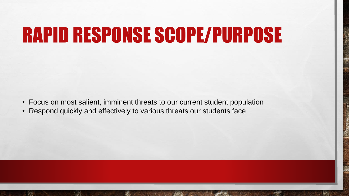## RAPID RESPONSE SCOPE/PURPOSE

- Focus on most salient, imminent threats to our current student population
- Respond quickly and effectively to various threats our students face